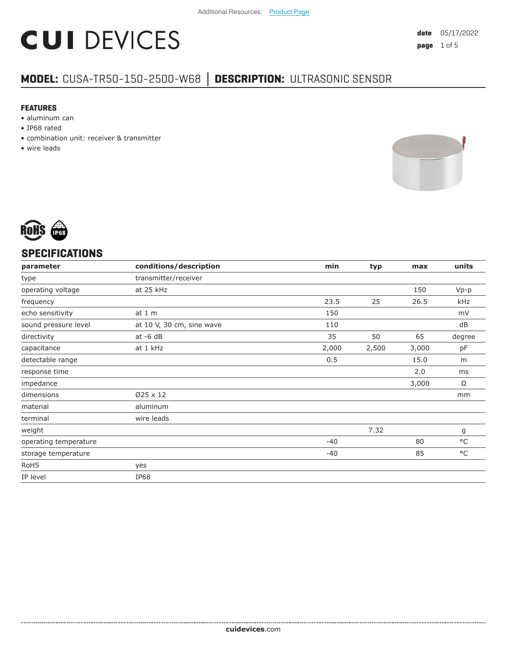# **CUI DEVICES**

### **MODEL:** CUSA-TR50-150-2500-W68 **│ DESCRIPTION:** ULTRASONIC SENSOR

#### **FEATURES**

- aluminum can
- IP68 rated
- combination unit: receiver & transmitter
- wire leads





#### **SPECIFICATIONS**

| parameter             | conditions/description    | min   | typ   | max   | units        |
|-----------------------|---------------------------|-------|-------|-------|--------------|
| type                  | transmitter/receiver      |       |       |       |              |
| operating voltage     | at 25 kHz                 |       |       | 150   | $Vp-p$       |
| frequency             |                           | 23.5  | 25    | 26.5  | kHz          |
| echo sensitivity      | at $1m$                   | 150   |       |       | mV           |
| sound pressure level  | at 10 V, 30 cm, sine wave | 110   |       |       | dB           |
| directivity           | $at -6 dB$                | 35    | 50    | 65    | degree       |
| capacitance           | at 1 kHz                  | 2,000 | 2,500 | 3,000 | pF           |
| detectable range      |                           | 0.5   |       | 15.0  | m            |
| response time         |                           |       |       | 2.0   | ms           |
| impedance             |                           |       |       | 3,000 | Ω            |
| dimensions            | $Ø25 \times 12$           |       |       |       | mm           |
| material              | aluminum                  |       |       |       |              |
| terminal              | wire leads                |       |       |       |              |
| weight                |                           |       | 7.32  |       | g            |
| operating temperature |                           | $-40$ |       | 80    | $^{\circ}$ C |
| storage temperature   |                           | $-40$ |       | 85    | $^{\circ}$ C |
| <b>RoHS</b>           | yes                       |       |       |       |              |
| IP level              | <b>IP68</b>               |       |       |       |              |
|                       |                           |       |       |       |              |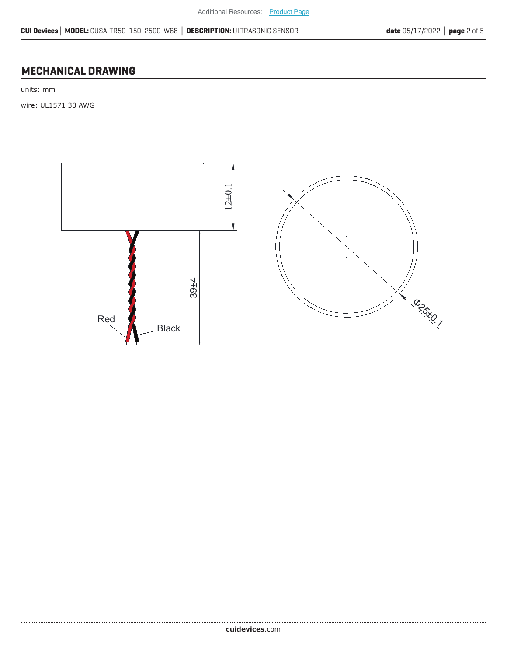#### **MECHANICAL DRAWING**

units: mm

wire: UL1571 30 AWG



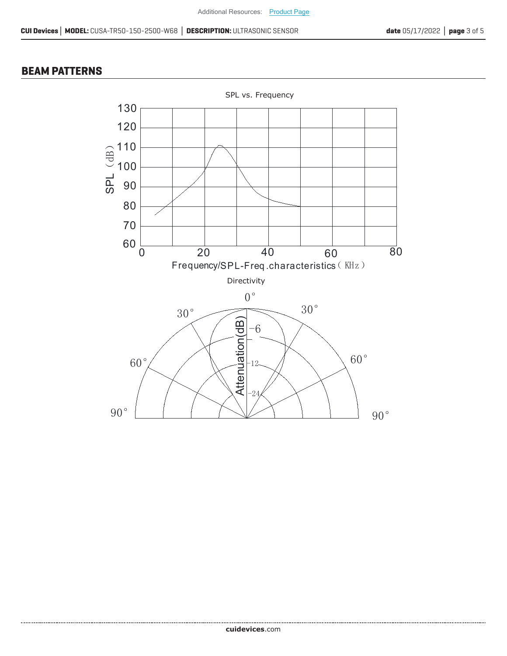#### **BEAM PATTERNS**

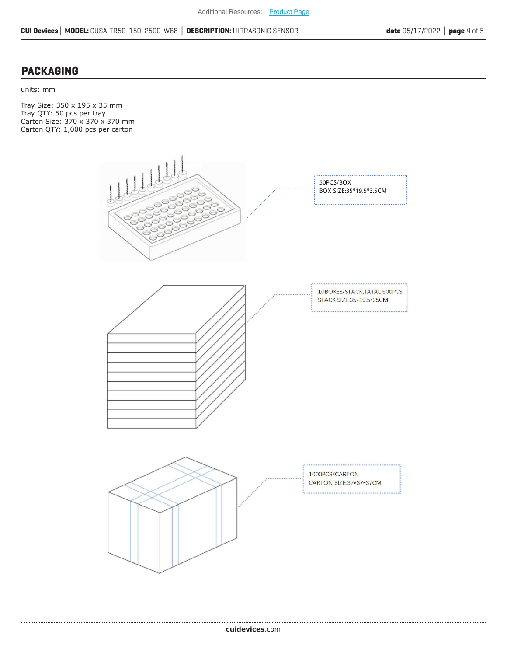#### **PACKAGING**

units: mm

Tray Size: 350 x 195 x 35 mm Tray QTY: 50 pcs per tray Carton Size: 370 x 370 x 370 mm Carton QTY: 1,000 pcs per carton